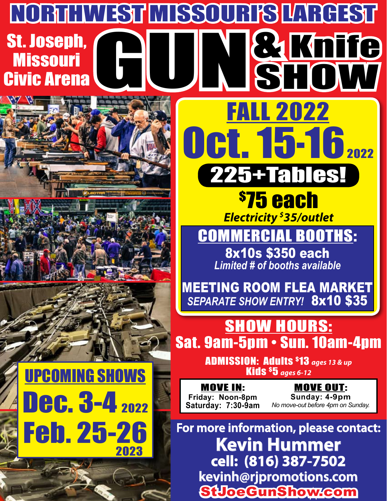## **GUI** NORTHWEST MISSOURI'S LARGEST **A Knife Show** FALL 2022 St. Joseph, **Missouri** Civic Arena





\$ 75 each *Electricity \$ 35/outlet* 225+Tables!

Oct. 15-16<sub>2022</sub>

COMMERCIAL Booths: 8x10s \$350 each

*Limited # of booths available*

MEETING ROOM FLEA MARKET *SEPARATE SHOW ENTRY!* 8x10 \$35

**SHOW HOURS:** Sat. 9am-5pm • Sun. 10am-4pm

> ADMISSION: Adults \$13 *ages 13 & up*  Kids \$5 *ages 6-12*

MOVE IN: **Friday: Noon-8pm Saturday: 7:30-9am**

MOVE OUT: **Sunday: 4-9pm** *No move-out before 4pm on Sunday.*

**For more information, please contact: Kevin Hummer cell: (816) 387-7502 kevinh@rjpromotions.com** StJoeGunShow.com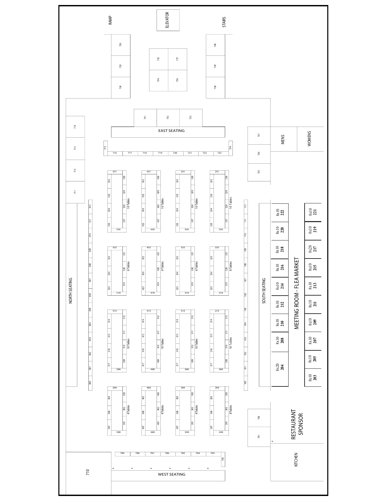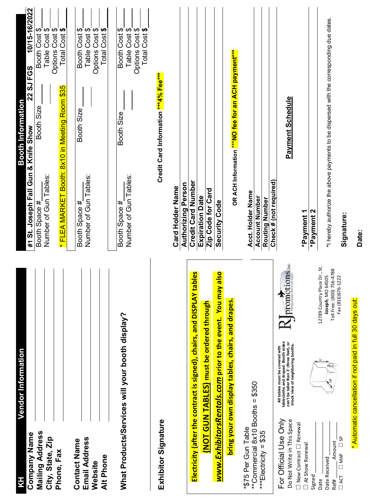| Vendor Information<br>$\frac{1}{2}$                                                                                                                                                                            |                                               |                                                                                          | Booth Information                                   |                                  |
|----------------------------------------------------------------------------------------------------------------------------------------------------------------------------------------------------------------|-----------------------------------------------|------------------------------------------------------------------------------------------|-----------------------------------------------------|----------------------------------|
| <b>Company Name</b>                                                                                                                                                                                            |                                               | #1 St. Joseph Fall Gun & Knife Show                                                      | 22 SJ FGS                                           | 10/15-16/2022                    |
| Mailing Address                                                                                                                                                                                                |                                               | Booth Space #                                                                            | Booth Size                                          | Booth Cost \$                    |
| City, State, Zip                                                                                                                                                                                               |                                               | Number of Gun Tables:                                                                    |                                                     | Table Cost \$<br>Options Cost \$ |
| Phone, Fax                                                                                                                                                                                                     |                                               | * FLEA MARKET Booth: 8x10 in Meeting Room \$35                                           |                                                     | Total Cost \$                    |
| <b>Contact Name</b>                                                                                                                                                                                            |                                               |                                                                                          |                                                     |                                  |
| <b>Email Address</b>                                                                                                                                                                                           |                                               | Number of Gun Tables:<br>Booth Space #                                                   | Booth Size                                          | Booth Cost \$<br>Table Cost \$   |
| Website                                                                                                                                                                                                        |                                               |                                                                                          |                                                     |                                  |
| Alt Phone                                                                                                                                                                                                      |                                               |                                                                                          |                                                     | Options Cost \$<br>Total Cost \$ |
|                                                                                                                                                                                                                |                                               |                                                                                          |                                                     |                                  |
| What Products/Services will your booth display?                                                                                                                                                                |                                               | Number of Gun Tables:<br>Booth Space #                                                   | Booth Size                                          | Booth Cost \$<br>Table Cost \$   |
|                                                                                                                                                                                                                |                                               |                                                                                          |                                                     | Total Cost \$<br>Options Cost \$ |
|                                                                                                                                                                                                                |                                               |                                                                                          |                                                     |                                  |
| Exhibitor Signature                                                                                                                                                                                            |                                               |                                                                                          | Credit Card Information ***4% Fee***                |                                  |
|                                                                                                                                                                                                                |                                               | <b>Card Holder Name</b>                                                                  |                                                     |                                  |
|                                                                                                                                                                                                                |                                               | Authorizing Person                                                                       |                                                     |                                  |
| Electricity (after the contract is signed), chairs, and DISPLAY ta                                                                                                                                             | <b><u>ald</u></b>                             | Credit Card Number                                                                       |                                                     |                                  |
|                                                                                                                                                                                                                |                                               | <b>Expiration Date</b>                                                                   |                                                     |                                  |
| (NOT GUN TABLES) must be ordered through                                                                                                                                                                       |                                               | Zip Code for Card                                                                        |                                                     |                                  |
| www.ExhibitorsRentals.com prior to the event. You may                                                                                                                                                          | <mark>osle</mark>                             | Security Code                                                                            |                                                     |                                  |
| bring your own display tables, chairs, and drapes.                                                                                                                                                             |                                               |                                                                                          | OR ACH Information *** NO fee for an ACH payment*** |                                  |
| *\$75 Per Gun Table                                                                                                                                                                                            |                                               |                                                                                          |                                                     |                                  |
| **Commercial 8x10 Booths = \$350                                                                                                                                                                               |                                               | Acct. Holder Name                                                                        |                                                     |                                  |
| ***Electricity = $$35$                                                                                                                                                                                         |                                               | <b>Account Number</b>                                                                    |                                                     |                                  |
|                                                                                                                                                                                                                |                                               | Routing Number                                                                           |                                                     |                                  |
|                                                                                                                                                                                                                |                                               | Check # (not required)                                                                   |                                                     |                                  |
| tablecloths and draped. Booth sides<br>can't be taller than 3' (three feet), or<br>block view of neighboring booths.<br>All tables must be covered with<br>For Official Use Only<br>Do Not Write in This Space | $R_{\text{promotions}_{\text{inc}}}$          |                                                                                          | Payment Schedule                                    |                                  |
| $\Box$ New Contract $\Box$ Renewal<br>At Show Renewal                                                                                                                                                          |                                               | *Payment 1                                                                               |                                                     |                                  |
|                                                                                                                                                                                                                |                                               | *Payment 2                                                                               |                                                     |                                  |
| Signed<br>Date                                                                                                                                                                                                 | 12789 Country Place Dr., St.                  |                                                                                          |                                                     |                                  |
| Amount<br>Date Received<br>Ref#                                                                                                                                                                                | Toll Free: (800) 756-4788<br>Joseph, MO 64505 | *I hereby authorize the above payments to be dispersed with the corresponding due dates. |                                                     |                                  |
| $\overline{\Box}$<br>$\Box$ MAP<br>$\Box$ ACT                                                                                                                                                                  | Fax (816)676-1222                             | Signature:                                                                               |                                                     |                                  |
|                                                                                                                                                                                                                |                                               |                                                                                          |                                                     |                                  |

**Date:**

\* Automatic cancellation if not paid in full 30 days out:

\* Automatic cancellation if not paid in full 30 days out: